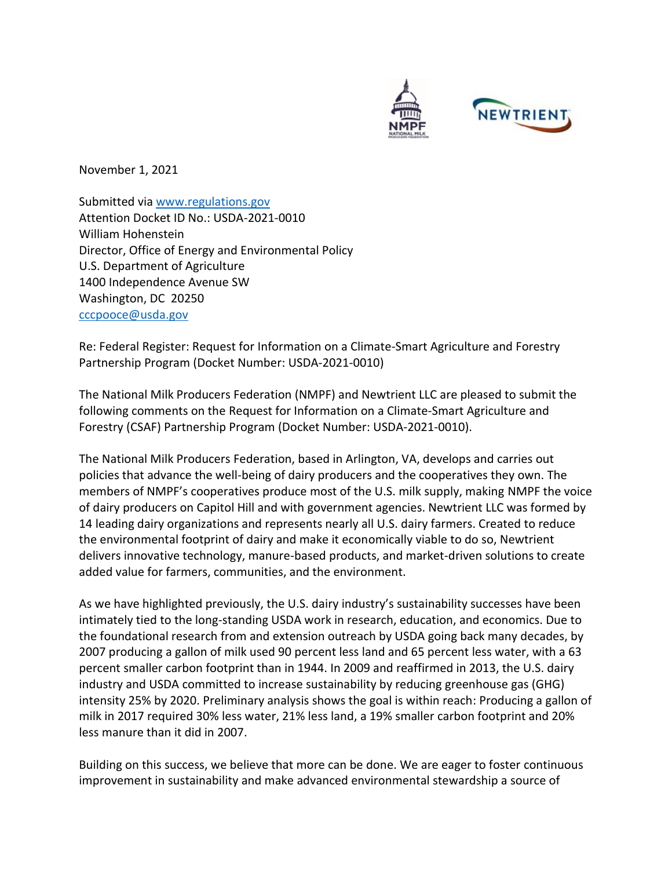

November 1, 2021

Submitted via [www.regulations.gov](http://www.regulations.gov/) Attention Docket ID No.: USDA-2021-0010 William Hohenstein Director, Office of Energy and Environmental Policy U.S. Department of Agriculture 1400 Independence Avenue SW Washington, DC 20250 [cccpooce@usda.gov](mailto:cccpooce@usda.gov)

Re: Federal Register: Request for Information on a Climate-Smart Agriculture and Forestry Partnership Program (Docket Number: USDA-2021-0010)

The National Milk Producers Federation (NMPF) and Newtrient LLC are pleased to submit the following comments on the Request for Information on a Climate-Smart Agriculture and Forestry (CSAF) Partnership Program (Docket Number: USDA-2021-0010).

The National Milk Producers Federation, based in Arlington, VA, develops and carries out policies that advance the well-being of dairy producers and the cooperatives they own. The members of NMPF's cooperatives produce most of the U.S. milk supply, making NMPF the voice of dairy producers on Capitol Hill and with government agencies. Newtrient LLC was formed by 14 leading dairy organizations and represents nearly all U.S. dairy farmers. Created to reduce the environmental footprint of dairy and make it economically viable to do so, Newtrient delivers innovative technology, manure-based products, and market-driven solutions to create added value for farmers, communities, and the environment.

As we have highlighted previously, the U.S. dairy industry's sustainability successes have been intimately tied to the long-standing USDA work in research, education, and economics. Due to the foundational research from and extension outreach by USDA going back many decades, by 2007 producing a gallon of milk used 90 percent less land and 65 percent less water, with a 63 percent smaller carbon footprint than in 1944. In 2009 and reaffirmed in 2013, the U.S. dairy industry and USDA committed to increase sustainability by reducing greenhouse gas (GHG) intensity 25% by 2020. Preliminary analysis shows the goal is within reach: Producing a gallon of milk in 2017 required 30% less water, 21% less land, a 19% smaller carbon footprint and 20% less manure than it did in 2007.

Building on this success, we believe that more can be done. We are eager to foster continuous improvement in sustainability and make advanced environmental stewardship a source of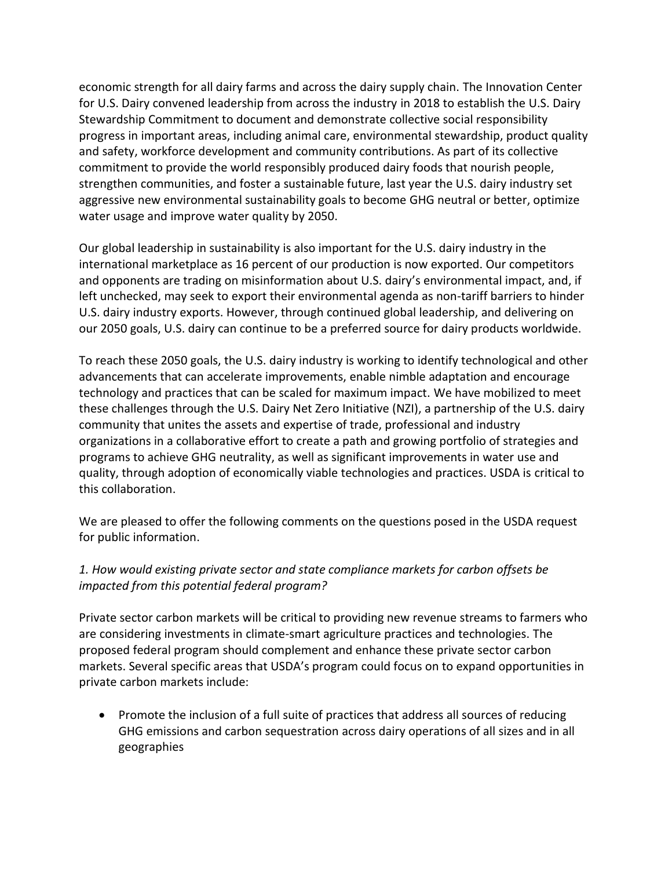economic strength for all dairy farms and across the dairy supply chain. The Innovation Center for U.S. Dairy convened leadership from across the industry in 2018 to establish the U.S. Dairy Stewardship Commitment to document and demonstrate collective social responsibility progress in important areas, including animal care, environmental stewardship, product quality and safety, workforce development and community contributions. As part of its collective commitment to provide the world responsibly produced dairy foods that nourish people, strengthen communities, and foster a sustainable future, last year the U.S. dairy industry set aggressive new environmental sustainability goals to become GHG neutral or better, optimize water usage and improve water quality by 2050.

Our global leadership in sustainability is also important for the U.S. dairy industry in the international marketplace as 16 percent of our production is now exported. Our competitors and opponents are trading on misinformation about U.S. dairy's environmental impact, and, if left unchecked, may seek to export their environmental agenda as non-tariff barriers to hinder U.S. dairy industry exports. However, through continued global leadership, and delivering on our 2050 goals, U.S. dairy can continue to be a preferred source for dairy products worldwide.

To reach these 2050 goals, the U.S. dairy industry is working to identify technological and other advancements that can accelerate improvements, enable nimble adaptation and encourage technology and practices that can be scaled for maximum impact. We have mobilized to meet these challenges through the U.S. Dairy Net Zero Initiative (NZI), a partnership of the U.S. dairy community that unites the assets and expertise of trade, professional and industry organizations in a collaborative effort to create a path and growing portfolio of strategies and programs to achieve GHG neutrality, as well as significant improvements in water use and quality, through adoption of economically viable technologies and practices. USDA is critical to this collaboration.

We are pleased to offer the following comments on the questions posed in the USDA request for public information.

#### *1. How would existing private sector and state compliance markets for carbon offsets be impacted from this potential federal program?*

Private sector carbon markets will be critical to providing new revenue streams to farmers who are considering investments in climate-smart agriculture practices and technologies. The proposed federal program should complement and enhance these private sector carbon markets. Several specific areas that USDA's program could focus on to expand opportunities in private carbon markets include:

• Promote the inclusion of a full suite of practices that address all sources of reducing GHG emissions and carbon sequestration across dairy operations of all sizes and in all geographies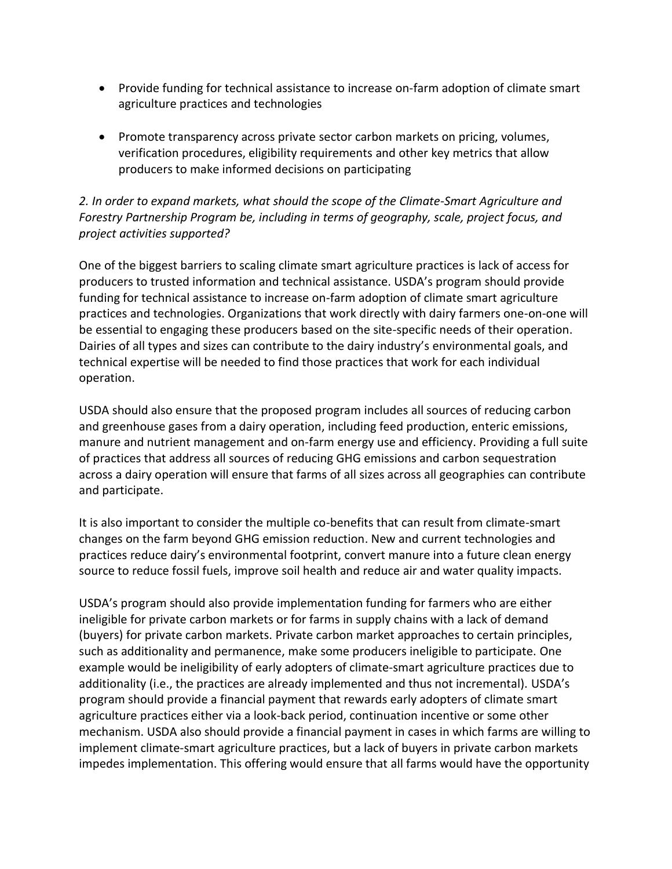- Provide funding for technical assistance to increase on-farm adoption of climate smart agriculture practices and technologies
- Promote transparency across private sector carbon markets on pricing, volumes, verification procedures, eligibility requirements and other key metrics that allow producers to make informed decisions on participating

#### *2. In order to expand markets, what should the scope of the Climate-Smart Agriculture and Forestry Partnership Program be, including in terms of geography, scale, project focus, and project activities supported?*

One of the biggest barriers to scaling climate smart agriculture practices is lack of access for producers to trusted information and technical assistance. USDA's program should provide funding for technical assistance to increase on-farm adoption of climate smart agriculture practices and technologies. Organizations that work directly with dairy farmers one-on-one will be essential to engaging these producers based on the site-specific needs of their operation. Dairies of all types and sizes can contribute to the dairy industry's environmental goals, and technical expertise will be needed to find those practices that work for each individual operation.

USDA should also ensure that the proposed program includes all sources of reducing carbon and greenhouse gases from a dairy operation, including feed production, enteric emissions, manure and nutrient management and on-farm energy use and efficiency. Providing a full suite of practices that address all sources of reducing GHG emissions and carbon sequestration across a dairy operation will ensure that farms of all sizes across all geographies can contribute and participate.

It is also important to consider the multiple co-benefits that can result from climate-smart changes on the farm beyond GHG emission reduction. New and current technologies and practices reduce dairy's environmental footprint, convert manure into a future clean energy source to reduce fossil fuels, improve soil health and reduce air and water quality impacts.

USDA's program should also provide implementation funding for farmers who are either ineligible for private carbon markets or for farms in supply chains with a lack of demand (buyers) for private carbon markets. Private carbon market approaches to certain principles, such as additionality and permanence, make some producers ineligible to participate. One example would be ineligibility of early adopters of climate-smart agriculture practices due to additionality (i.e., the practices are already implemented and thus not incremental). USDA's program should provide a financial payment that rewards early adopters of climate smart agriculture practices either via a look-back period, continuation incentive or some other mechanism. USDA also should provide a financial payment in cases in which farms are willing to implement climate-smart agriculture practices, but a lack of buyers in private carbon markets impedes implementation. This offering would ensure that all farms would have the opportunity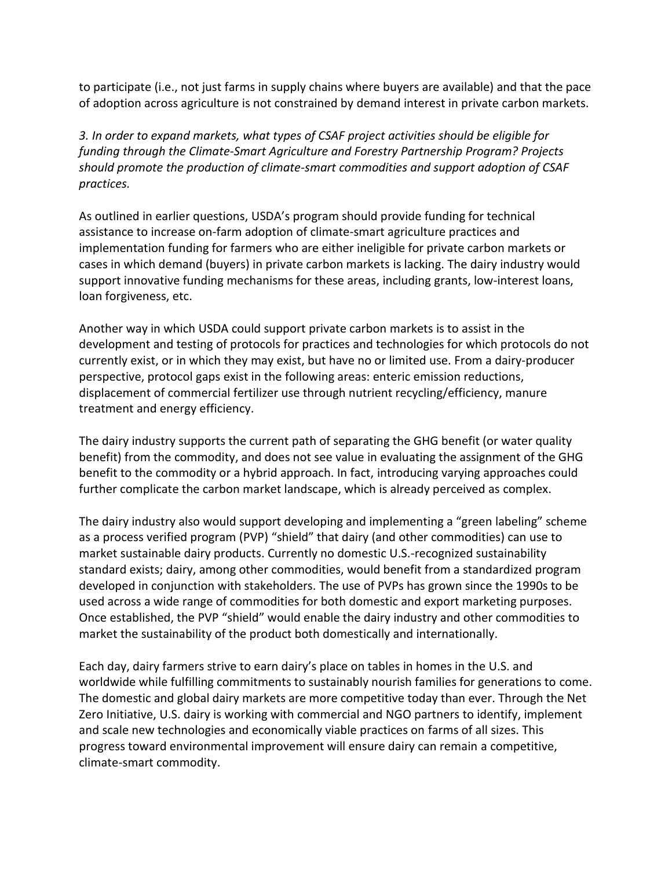to participate (i.e., not just farms in supply chains where buyers are available) and that the pace of adoption across agriculture is not constrained by demand interest in private carbon markets.

*3. In order to expand markets, what types of CSAF project activities should be eligible for funding through the Climate-Smart Agriculture and Forestry Partnership Program? Projects should promote the production of climate-smart commodities and support adoption of CSAF practices.*

As outlined in earlier questions, USDA's program should provide funding for technical assistance to increase on-farm adoption of climate-smart agriculture practices and implementation funding for farmers who are either ineligible for private carbon markets or cases in which demand (buyers) in private carbon markets is lacking. The dairy industry would support innovative funding mechanisms for these areas, including grants, low-interest loans, loan forgiveness, etc.

Another way in which USDA could support private carbon markets is to assist in the development and testing of protocols for practices and technologies for which protocols do not currently exist, or in which they may exist, but have no or limited use. From a dairy-producer perspective, protocol gaps exist in the following areas: enteric emission reductions, displacement of commercial fertilizer use through nutrient recycling/efficiency, manure treatment and energy efficiency.

The dairy industry supports the current path of separating the GHG benefit (or water quality benefit) from the commodity, and does not see value in evaluating the assignment of the GHG benefit to the commodity or a hybrid approach. In fact, introducing varying approaches could further complicate the carbon market landscape, which is already perceived as complex.

The dairy industry also would support developing and implementing a "green labeling" scheme as a process verified program (PVP) "shield" that dairy (and other commodities) can use to market sustainable dairy products. Currently no domestic U.S.-recognized sustainability standard exists; dairy, among other commodities, would benefit from a standardized program developed in conjunction with stakeholders. The use of PVPs has grown since the 1990s to be used across a wide range of commodities for both domestic and export marketing purposes. Once established, the PVP "shield" would enable the dairy industry and other commodities to market the sustainability of the product both domestically and internationally.

Each day, dairy farmers strive to earn dairy's place on tables in homes in the U.S. and worldwide while fulfilling commitments to sustainably nourish families for generations to come. The domestic and global dairy markets are more competitive today than ever. Through the Net Zero Initiative, U.S. dairy is working with commercial and NGO partners to identify, implement and scale new technologies and economically viable practices on farms of all sizes. This progress toward environmental improvement will ensure dairy can remain a competitive, climate-smart commodity.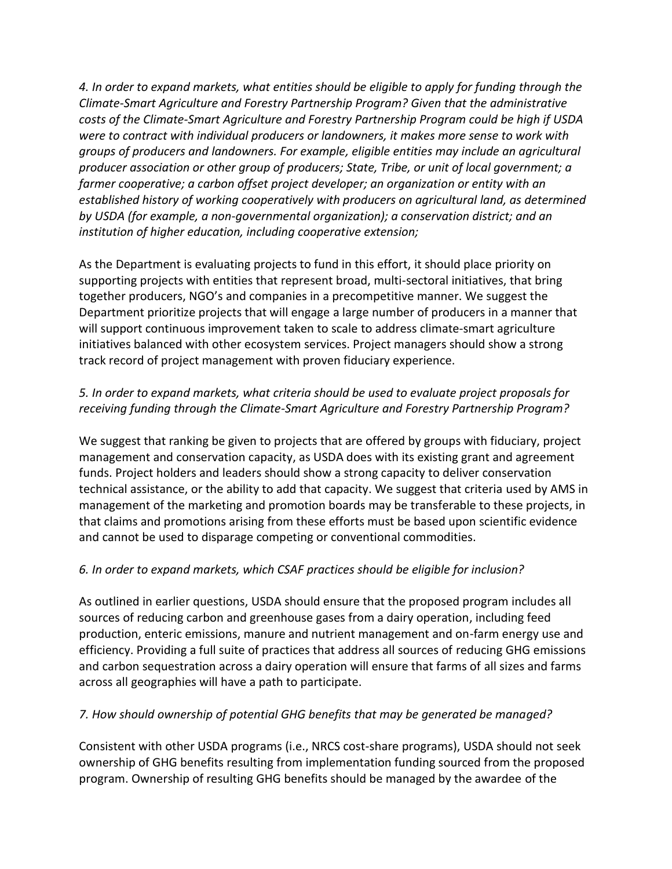*4. In order to expand markets, what entities should be eligible to apply for funding through the Climate-Smart Agriculture and Forestry Partnership Program? Given that the administrative costs of the Climate-Smart Agriculture and Forestry Partnership Program could be high if USDA were to contract with individual producers or landowners, it makes more sense to work with groups of producers and landowners. For example, eligible entities may include an agricultural producer association or other group of producers; State, Tribe, or unit of local government; a farmer cooperative; a carbon offset project developer; an organization or entity with an established history of working cooperatively with producers on agricultural land, as determined by USDA (for example, a non-governmental organization); a conservation district; and an institution of higher education, including cooperative extension;*

As the Department is evaluating projects to fund in this effort, it should place priority on supporting projects with entities that represent broad, multi-sectoral initiatives, that bring together producers, NGO's and companies in a precompetitive manner. We suggest the Department prioritize projects that will engage a large number of producers in a manner that will support continuous improvement taken to scale to address climate-smart agriculture initiatives balanced with other ecosystem services. Project managers should show a strong track record of project management with proven fiduciary experience.

# *5. In order to expand markets, what criteria should be used to evaluate project proposals for receiving funding through the Climate-Smart Agriculture and Forestry Partnership Program?*

We suggest that ranking be given to projects that are offered by groups with fiduciary, project management and conservation capacity, as USDA does with its existing grant and agreement funds. Project holders and leaders should show a strong capacity to deliver conservation technical assistance, or the ability to add that capacity. We suggest that criteria used by AMS in management of the marketing and promotion boards may be transferable to these projects, in that claims and promotions arising from these efforts must be based upon scientific evidence and cannot be used to disparage competing or conventional commodities.

# *6. In order to expand markets, which CSAF practices should be eligible for inclusion?*

As outlined in earlier questions, USDA should ensure that the proposed program includes all sources of reducing carbon and greenhouse gases from a dairy operation, including feed production, enteric emissions, manure and nutrient management and on-farm energy use and efficiency. Providing a full suite of practices that address all sources of reducing GHG emissions and carbon sequestration across a dairy operation will ensure that farms of all sizes and farms across all geographies will have a path to participate.

#### *7. How should ownership of potential GHG benefits that may be generated be managed?*

Consistent with other USDA programs (i.e., NRCS cost-share programs), USDA should not seek ownership of GHG benefits resulting from implementation funding sourced from the proposed program. Ownership of resulting GHG benefits should be managed by the awardee of the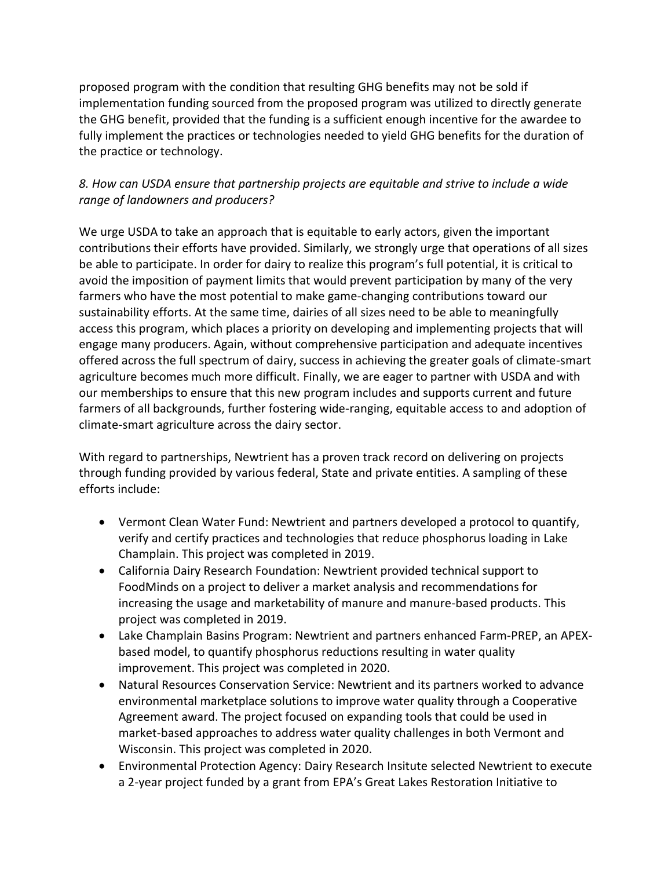proposed program with the condition that resulting GHG benefits may not be sold if implementation funding sourced from the proposed program was utilized to directly generate the GHG benefit, provided that the funding is a sufficient enough incentive for the awardee to fully implement the practices or technologies needed to yield GHG benefits for the duration of the practice or technology.

# *8. How can USDA ensure that partnership projects are equitable and strive to include a wide range of landowners and producers?*

We urge USDA to take an approach that is equitable to early actors, given the important contributions their efforts have provided. Similarly, we strongly urge that operations of all sizes be able to participate. In order for dairy to realize this program's full potential, it is critical to avoid the imposition of payment limits that would prevent participation by many of the very farmers who have the most potential to make game-changing contributions toward our sustainability efforts. At the same time, dairies of all sizes need to be able to meaningfully access this program, which places a priority on developing and implementing projects that will engage many producers. Again, without comprehensive participation and adequate incentives offered across the full spectrum of dairy, success in achieving the greater goals of climate-smart agriculture becomes much more difficult. Finally, we are eager to partner with USDA and with our memberships to ensure that this new program includes and supports current and future farmers of all backgrounds, further fostering wide-ranging, equitable access to and adoption of climate-smart agriculture across the dairy sector.

With regard to partnerships, Newtrient has a proven track record on delivering on projects through funding provided by various federal, State and private entities. A sampling of these efforts include:

- Vermont Clean Water Fund: Newtrient and partners developed a protocol to quantify, verify and certify practices and technologies that reduce phosphorus loading in Lake Champlain. This project was completed in 2019.
- California Dairy Research Foundation: Newtrient provided technical support to FoodMinds on a project to deliver a market analysis and recommendations for increasing the usage and marketability of manure and manure-based products. This project was completed in 2019.
- Lake Champlain Basins Program: Newtrient and partners enhanced Farm-PREP, an APEXbased model, to quantify phosphorus reductions resulting in water quality improvement. This project was completed in 2020.
- Natural Resources Conservation Service: Newtrient and its partners worked to advance environmental marketplace solutions to improve water quality through a Cooperative Agreement award. The project focused on expanding tools that could be used in market-based approaches to address water quality challenges in both Vermont and Wisconsin. This project was completed in 2020.
- Environmental Protection Agency: Dairy Research Insitute selected Newtrient to execute a 2-year project funded by a grant from EPA's Great Lakes Restoration Initiative to